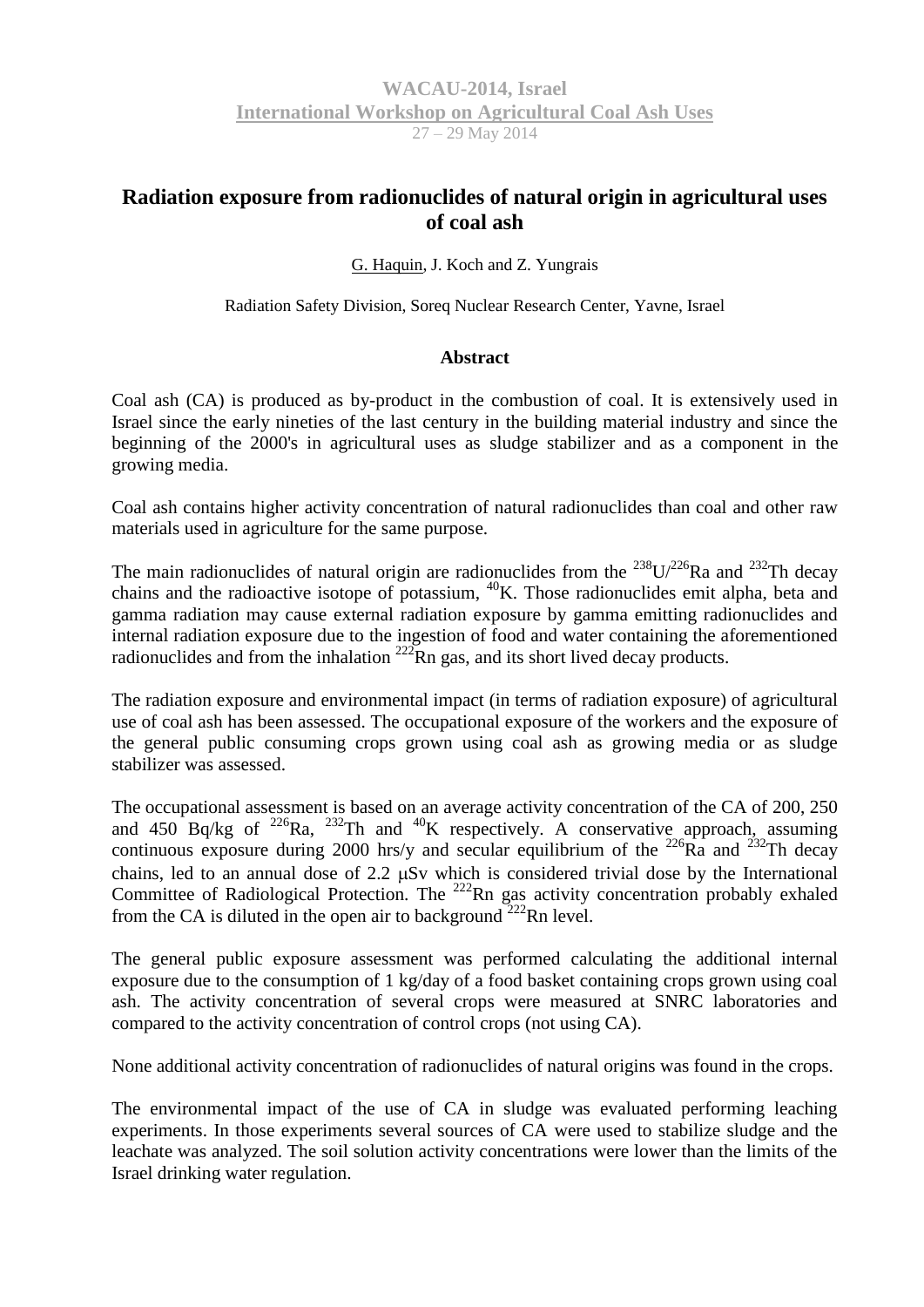## **WACAU-2014, Israel International Workshop on Agricultural Coal Ash Uses**  $\frac{1}{27 - 29 \text{ Mav } 2014}$

## **Radiation exposure from radionuclides of natural origin in agricultural uses of coal ash**

G. Haquin, J. Koch and Z. Yungrais

Radiation Safety Division, Soreq Nuclear Research Center, Yavne, Israel

## **Abstract**

Coal ash (CA) is produced as by-product in the combustion of coal. It is extensively used in Israel since the early nineties of the last century in the building material industry and since the beginning of the 2000's in agricultural uses as sludge stabilizer and as a component in the growing media.

Coal ash contains higher activity concentration of natural radionuclides than coal and other raw materials used in agriculture for the same purpose.

The main radionuclides of natural origin are radionuclides from the  $^{238}U^{226}$ Ra and  $^{232}$ Th decay chains and the radioactive isotope of potassium,  ${}^{40}$ K. Those radionuclides emit alpha, beta and gamma radiation may cause external radiation exposure by gamma emitting radionuclides and internal radiation exposure due to the ingestion of food and water containing the aforementioned radionuclides and from the inhalation  $^{222}$ Rn gas, and its short lived decay products.

The radiation exposure and environmental impact (in terms of radiation exposure) of agricultural use of coal ash has been assessed. The occupational exposure of the workers and the exposure of the general public consuming crops grown using coal ash as growing media or as sludge stabilizer was assessed.

The occupational assessment is based on an average activity concentration of the CA of 200, 250 and 450 Bq/kg of  $^{226}$ Ra,  $^{232}$ Th and  $^{40}$ K respectively. A conservative approach, assuming continuous exposure during 2000 hrs/y and secular equilibrium of the  $^{226}$  $\overrightarrow{Ra}$  and  $^{232}$ Th decay chains, led to an annual dose of  $2.2 \mu Sv$  which is considered trivial dose by the International Committee of Radiological Protection. The  $^{222}$ Rn gas activity concentration probably exhaled from the CA is diluted in the open air to background  $^{222}$ Rn level.

The general public exposure assessment was performed calculating the additional internal exposure due to the consumption of 1 kg/day of a food basket containing crops grown using coal ash. The activity concentration of several crops were measured at SNRC laboratories and compared to the activity concentration of control crops (not using CA).

None additional activity concentration of radionuclides of natural origins was found in the crops.

The environmental impact of the use of CA in sludge was evaluated performing leaching experiments. In those experiments several sources of CA were used to stabilize sludge and the leachate was analyzed. The soil solution activity concentrations were lower than the limits of the Israel drinking water regulation.